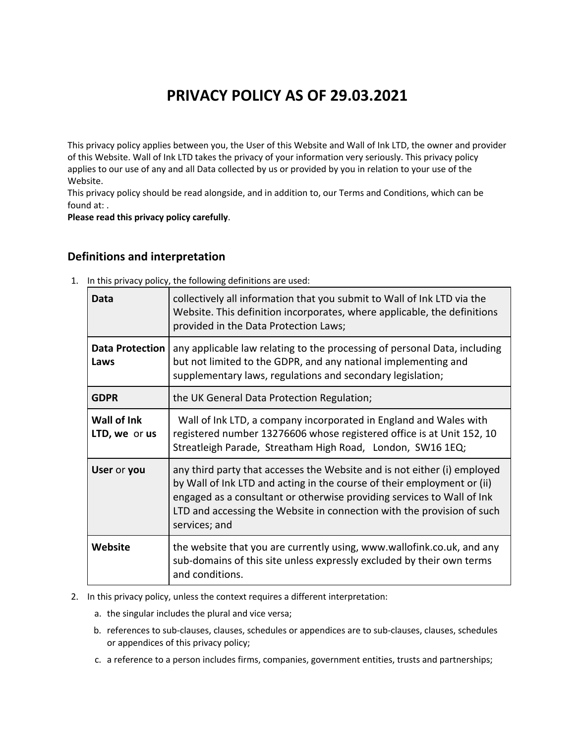# **PRIVACY POLICY AS OF 29.03.2021**

This privacy policy applies between you, the User of this Website and Wall of Ink LTD, the owner and provider of this Website. Wall of Ink LTD takes the privacy of your information very seriously. This privacy policy applies to our use of any and all Data collected by us or provided by you in relation to your use of the Website.

This privacy policy should be read alongside, and in addition to, our Terms and Conditions, which can be found at: .

**Please read this privacy policy carefully**.

#### **Definitions and interpretation**

| 1. In this privacy policy, the following definitions are used: |  |
|----------------------------------------------------------------|--|
|----------------------------------------------------------------|--|

| Data                                | collectively all information that you submit to Wall of Ink LTD via the<br>Website. This definition incorporates, where applicable, the definitions<br>provided in the Data Protection Laws;                                                                                                                             |
|-------------------------------------|--------------------------------------------------------------------------------------------------------------------------------------------------------------------------------------------------------------------------------------------------------------------------------------------------------------------------|
| <b>Data Protection</b><br>Laws      | any applicable law relating to the processing of personal Data, including<br>but not limited to the GDPR, and any national implementing and<br>supplementary laws, regulations and secondary legislation;                                                                                                                |
| <b>GDPR</b>                         | the UK General Data Protection Regulation;                                                                                                                                                                                                                                                                               |
| <b>Wall of Ink</b><br>LTD, we or us | Wall of Ink LTD, a company incorporated in England and Wales with<br>registered number 13276606 whose registered office is at Unit 152, 10<br>Streatleigh Parade, Streatham High Road, London, SW16 1EQ;                                                                                                                 |
| User or you                         | any third party that accesses the Website and is not either (i) employed<br>by Wall of Ink LTD and acting in the course of their employment or (ii)<br>engaged as a consultant or otherwise providing services to Wall of Ink<br>LTD and accessing the Website in connection with the provision of such<br>services; and |
| Website                             | the website that you are currently using, www.wallofink.co.uk, and any<br>sub-domains of this site unless expressly excluded by their own terms<br>and conditions.                                                                                                                                                       |

- 2. In this privacy policy, unless the context requires a different interpretation:
	- a. the singular includes the plural and vice versa;
	- b. references to sub-clauses, clauses, schedules or appendices are to sub-clauses, clauses, schedules or appendices of this privacy policy;
	- c. a reference to a person includes firms, companies, government entities, trusts and partnerships;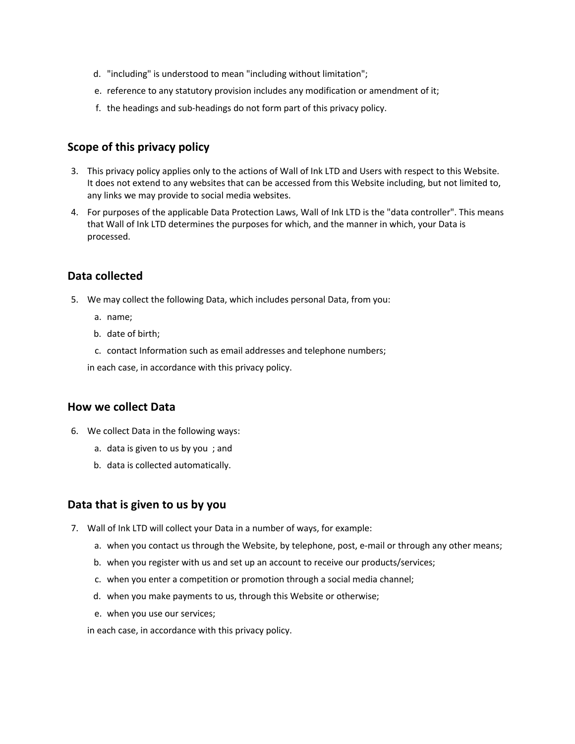- d. "including" is understood to mean "including without limitation";
- e. reference to any statutory provision includes any modification or amendment of it;
- f. the headings and sub-headings do not form part of this privacy policy.

### **Scope of this privacy policy**

- 3. This privacy policy applies only to the actions of Wall of Ink LTD and Users with respect to this Website. It does not extend to any websites that can be accessed from this Website including, but not limited to, any links we may provide to social media websites.
- 4. For purposes of the applicable Data Protection Laws, Wall of Ink LTD is the "data controller". This means that Wall of Ink LTD determines the purposes for which, and the manner in which, your Data is processed.

# **Data collected**

- 5. We may collect the following Data, which includes personal Data, from you:
	- a. name;
	- b. date of birth;
	- c. contact Information such as email addresses and telephone numbers;

in each case, in accordance with this privacy policy.

#### **How we collect Data**

- 6. We collect Data in the following ways:
	- a. data is given to us by you ; and
	- b. data is collected automatically.

#### **Data that is given to us by you**

- 7. Wall of Ink LTD will collect your Data in a number of ways, for example:
	- a. when you contact us through the Website, by telephone, post, e-mail or through any other means;
	- b. when you register with us and set up an account to receive our products/services;
	- c. when you enter a competition or promotion through a social media channel;
	- d. when you make payments to us, through this Website or otherwise;
	- e. when you use our services;

in each case, in accordance with this privacy policy.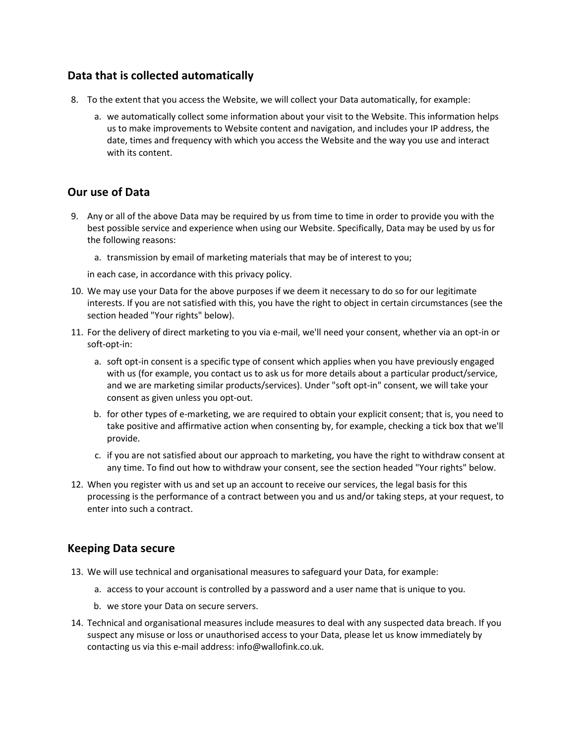#### **Data that is collected automatically**

- 8. To the extent that you access the Website, we will collect your Data automatically, for example:
	- a. we automatically collect some information about your visit to the Website. This information helps us to make improvements to Website content and navigation, and includes your IP address, the date, times and frequency with which you access the Website and the way you use and interact with its content.

### **Our use of Data**

- 9. Any or all of the above Data may be required by us from time to time in order to provide you with the best possible service and experience when using our Website. Specifically, Data may be used by us for the following reasons:
	- a. transmission by email of marketing materials that may be of interest to you;

in each case, in accordance with this privacy policy.

- 10. We may use your Data for the above purposes if we deem it necessary to do so for our legitimate interests. If you are not satisfied with this, you have the right to object in certain circumstances (see the section headed "Your rights" below).
- 11. For the delivery of direct marketing to you via e-mail, we'll need your consent, whether via an opt-in or soft-opt-in:
	- a. soft opt-in consent is a specific type of consent which applies when you have previously engaged with us (for example, you contact us to ask us for more details about a particular product/service, and we are marketing similar products/services). Under "soft opt-in" consent, we will take your consent as given unless you opt-out.
	- b. for other types of e-marketing, we are required to obtain your explicit consent; that is, you need to take positive and affirmative action when consenting by, for example, checking a tick box that we'll provide.
	- c. if you are not satisfied about our approach to marketing, you have the right to withdraw consent at any time. To find out how to withdraw your consent, see the section headed "Your rights" below.
- 12. When you register with us and set up an account to receive our services, the legal basis for this processing is the performance of a contract between you and us and/or taking steps, at your request, to enter into such a contract.

#### **Keeping Data secure**

- 13. We will use technical and organisational measures to safeguard your Data, for example:
	- a. access to your account is controlled by a password and a user name that is unique to you.
	- b. we store your Data on secure servers.
- 14. Technical and organisational measures include measures to deal with any suspected data breach. If you suspect any misuse or loss or unauthorised access to your Data, please let us know immediately by contacting us via this e-mail address: info@wallofink.co.uk.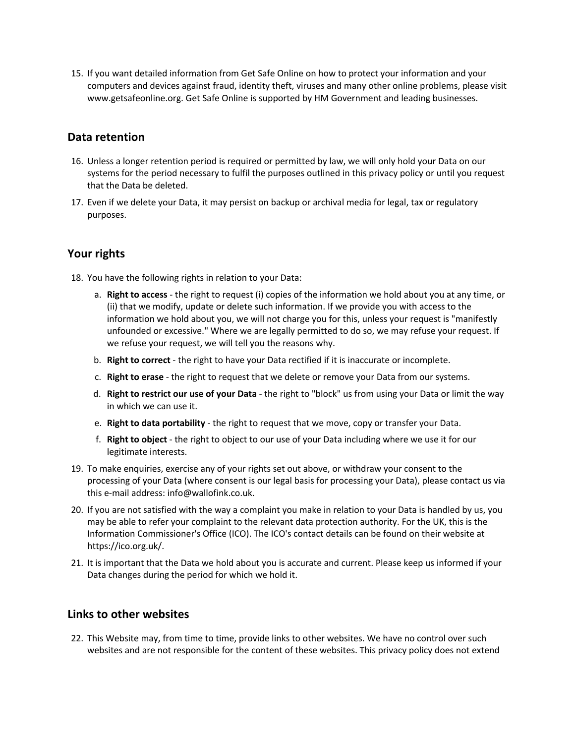15. If you want detailed information from Get Safe Online on how to protect your information and your computers and devices against fraud, identity theft, viruses and many other online problems, please visit www.getsafeonline.org. Get Safe Online is supported by HM Government and leading businesses.

#### **Data retention**

- 16. Unless a longer retention period is required or permitted by law, we will only hold your Data on our systems for the period necessary to fulfil the purposes outlined in this privacy policy or until you request that the Data be deleted.
- 17. Even if we delete your Data, it may persist on backup or archival media for legal, tax or regulatory purposes.

# **Your rights**

- 18. You have the following rights in relation to your Data:
	- a. **Right to access** the right to request (i) copies of the information we hold about you at any time, or (ii) that we modify, update or delete such information. If we provide you with access to the information we hold about you, we will not charge you for this, unless your request is "manifestly unfounded or excessive." Where we are legally permitted to do so, we may refuse your request. If we refuse your request, we will tell you the reasons why.
	- b. **Right to correct** the right to have your Data rectified if it is inaccurate or incomplete.
	- c. **Right to erase** the right to request that we delete or remove your Data from our systems.
	- d. **Right to restrict our use of your Data** the right to "block" us from using your Data or limit the way in which we can use it.
	- e. **Right to data portability** the right to request that we move, copy or transfer your Data.
	- f. **Right to object** the right to object to our use of your Data including where we use it for our legitimate interests.
- 19. To make enquiries, exercise any of your rights set out above, or withdraw your consent to the processing of your Data (where consent is our legal basis for processing your Data), please contact us via this e-mail address: info@wallofink.co.uk.
- 20. If you are not satisfied with the way a complaint you make in relation to your Data is handled by us, you may be able to refer your complaint to the relevant data protection authority. For the UK, this is the Information Commissioner's Office (ICO). The ICO's contact details can be found on their website at https://ico.org.uk/.
- 21. It is important that the Data we hold about you is accurate and current. Please keep us informed if your Data changes during the period for which we hold it.

#### **Links to other websites**

22. This Website may, from time to time, provide links to other websites. We have no control over such websites and are not responsible for the content of these websites. This privacy policy does not extend